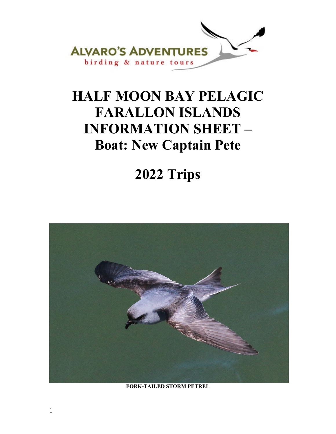

# **HALF MOON BAY PELAGIC FARALLON ISLANDS INFORMATION SHEET – Boat: New Captain Pete**

# **2022 Trips**



**FORK-TAILED STORM PETREL**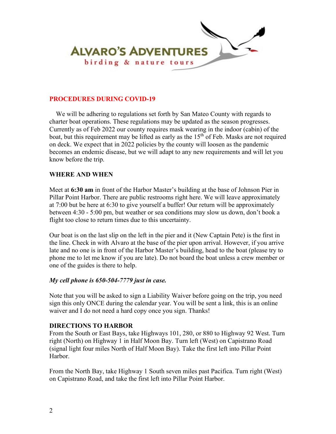

### **PROCEDURES DURING COVID-19**

 We will be adhering to regulations set forth by San Mateo County with regards to charter boat operations. These regulations may be updated as the season progresses. Currently as of Feb 2022 our county requires mask wearing in the indoor (cabin) of the boat, but this requirement may be lifted as early as the  $15<sup>th</sup>$  of Feb. Masks are not required on deck. We expect that in 2022 policies by the county will loosen as the pandemic becomes an endemic disease, but we will adapt to any new requirements and will let you know before the trip.

#### **WHERE AND WHEN**

Meet at **6:30 am** in front of the Harbor Master's building at the base of Johnson Pier in Pillar Point Harbor. There are public restrooms right here. We will leave approximately at 7:00 but be here at 6:30 to give yourself a buffer! Our return will be approximately between 4:30 - 5:00 pm, but weather or sea conditions may slow us down, don't book a flight too close to return times due to this uncertainty.

Our boat is on the last slip on the left in the pier and it (New Captain Pete) is the first in the line. Check in with Alvaro at the base of the pier upon arrival. However, if you arrive late and no one is in front of the Harbor Master's building, head to the boat (please try to phone me to let me know if you are late). Do not board the boat unless a crew member or one of the guides is there to help.

#### *My cell phone is 650-504-7779 just in case.*

Note that you will be asked to sign a Liability Waiver before going on the trip, you need sign this only ONCE during the calendar year. You will be sent a link, this is an online waiver and I do not need a hard copy once you sign. Thanks!

#### **DIRECTIONS TO HARBOR**

From the South or East Bays, take Highways 101, 280, or 880 to Highway 92 West. Turn right (North) on Highway 1 in Half Moon Bay. Turn left (West) on Capistrano Road (signal light four miles North of Half Moon Bay). Take the first left into Pillar Point Harbor.

From the North Bay, take Highway 1 South seven miles past Pacifica. Turn right (West) on Capistrano Road, and take the first left into Pillar Point Harbor.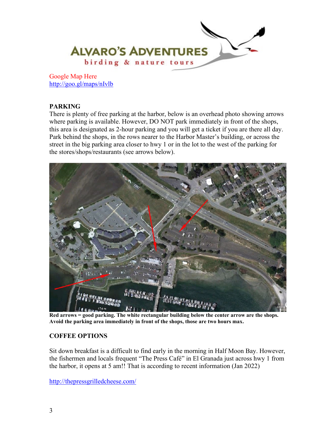

Google Map Here <http://goo.gl/maps/nIvlb>

# **PARKING**

There is plenty of free parking at the harbor, below is an overhead photo showing arrows where parking is available. However, DO NOT park immediately in front of the shops, this area is designated as 2-hour parking and you will get a ticket if you are there all day. Park behind the shops, in the rows nearer to the Harbor Master's building, or across the street in the big parking area closer to hwy 1 or in the lot to the west of the parking for the stores/shops/restaurants (see arrows below).



**Red arrows = good parking. The white rectangular building below the center arrow are the shops. Avoid the parking area immediately in front of the shops, those are two hours max.** 

# **COFFEE OPTIONS**

Sit down breakfast is a difficult to find early in the morning in Half Moon Bay. However, the fishermen and locals frequent "The Press Café" in El Granada just across hwy 1 from the harbor, it opens at 5 am!! That is according to recent information (Jan 2022)

<http://thepressgrilledcheese.com/>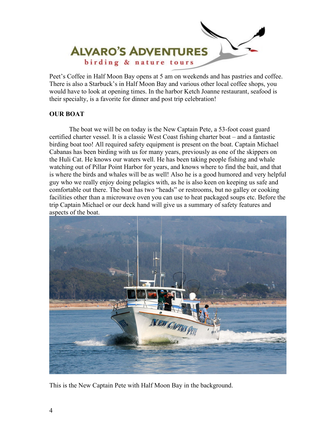

Peet's Coffee in Half Moon Bay opens at 5 am on weekends and has pastries and coffee. There is also a Starbuck's in Half Moon Bay and various other local coffee shops, you would have to look at opening times. In the harbor Ketch Joanne restaurant, seafood is their specialty, is a favorite for dinner and post trip celebration!

# **OUR BOAT**

The boat we will be on today is the New Captain Pete, a 53-foot coast guard certified charter vessel. It is a classic West Coast fishing charter boat – and a fantastic birding boat too! All required safety equipment is present on the boat. Captain Michael Cabanas has been birding with us for many years, previously as one of the skippers on the Huli Cat. He knows our waters well. He has been taking people fishing and whale watching out of Pillar Point Harbor for years, and knows where to find the bait, and that is where the birds and whales will be as well! Also he is a good humored and very helpful guy who we really enjoy doing pelagics with, as he is also keen on keeping us safe and comfortable out there. The boat has two "heads" or restrooms, but no galley or cooking facilities other than a microwave oven you can use to heat packaged soups etc. Before the trip Captain Michael or our deck hand will give us a summary of safety features and aspects of the boat.



This is the New Captain Pete with Half Moon Bay in the background.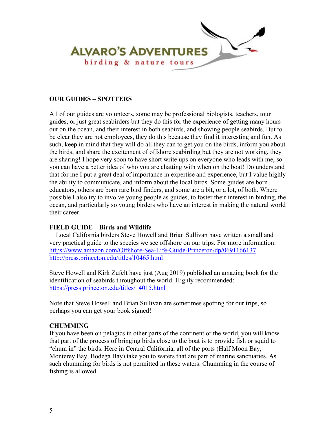

#### **OUR GUIDES – SPOTTERS**

All of our guides are volunteers, some may be professional biologists, teachers, tour guides, or just great seabirders but they do this for the experience of getting many hours out on the ocean, and their interest in both seabirds, and showing people seabirds. But to be clear they are not employees, they do this because they find it interesting and fun. As such, keep in mind that they will do all they can to get you on the birds, inform you about the birds, and share the excitement of offshore seabirding but they are not working, they are sharing! I hope very soon to have short write ups on everyone who leads with me, so you can have a better idea of who you are chatting with when on the boat! Do understand that for me I put a great deal of importance in expertise and experience, but I value highly the ability to communicate, and inform about the local birds. Some guides are born educators, others are born rare bird finders, and some are a bit, or a lot, of both. Where possible I also try to involve young people as guides, to foster their interest in birding, the ocean, and particularly so young birders who have an interest in making the natural world their career.

#### **FIELD GUIDE – Birds and Wildlife**

 Local California birders Steve Howell and Brian Sullivan have written a small and very practical guide to the species we see offshore on our trips. For more information: <https://www.amazon.com/Offshore-Sea-Life-Guide-Princeton/dp/0691166137> <http://press.princeton.edu/titles/10465.html>

Steve Howell and Kirk Zufelt have just (Aug 2019) published an amazing book for the identification of seabirds throughout the world. Highly recommended: <https://press.princeton.edu/titles/14015.html>

Note that Steve Howell and Brian Sullivan are sometimes spotting for our trips, so perhaps you can get your book signed!

# **CHUMMING**

If you have been on pelagics in other parts of the continent or the world, you will know that part of the process of bringing birds close to the boat is to provide fish or squid to "chum in" the birds. Here in Central California, all of the ports (Half Moon Bay, Monterey Bay, Bodega Bay) take you to waters that are part of marine sanctuaries. As such chumming for birds is not permitted in these waters. Chumming in the course of fishing is allowed.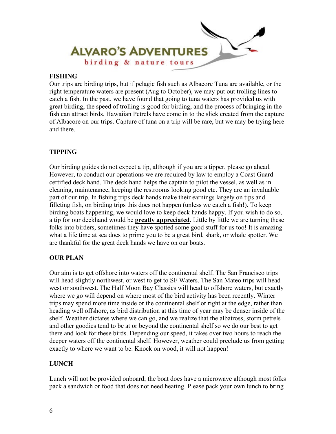

### **FISHING**

Our trips are birding trips, but if pelagic fish such as Albacore Tuna are available, or the right temperature waters are present (Aug to October), we may put out trolling lines to catch a fish. In the past, we have found that going to tuna waters has provided us with great birding, the speed of trolling is good for birding, and the process of bringing in the fish can attract birds. Hawaiian Petrels have come in to the slick created from the capture of Albacore on our trips. Capture of tuna on a trip will be rare, but we may be trying here and there.

#### **TIPPING**

Our birding guides do not expect a tip, although if you are a tipper, please go ahead. However, to conduct our operations we are required by law to employ a Coast Guard certified deck hand. The deck hand helps the captain to pilot the vessel, as well as in cleaning, maintenance, keeping the restrooms looking good etc. They are an invaluable part of our trip. In fishing trips deck hands make their earnings largely on tips and filleting fish, on birding trips this does not happen (unless we catch a fish!). To keep birding boats happening, we would love to keep deck hands happy. If you wish to do so, a tip for our deckhand would be **greatly appreciated**. Little by little we are turning these folks into birders, sometimes they have spotted some good stuff for us too! It is amazing what a life time at sea does to prime you to be a great bird, shark, or whale spotter. We are thankful for the great deck hands we have on our boats.

# **OUR PLAN**

Our aim is to get offshore into waters off the continental shelf. The San Francisco trips will head slightly northwest, or west to get to SF Waters. The San Mateo trips will head west or southwest. The Half Moon Bay Classics will head to offshore waters, but exactly where we go will depend on where most of the bird activity has been recently. Winter trips may spend more time inside or the continental shelf or right at the edge, rather than heading well offshore, as bird distribution at this time of year may be denser inside of the shelf. Weather dictates where we can go, and we realize that the albatross, storm petrels and other goodies tend to be at or beyond the continental shelf so we do our best to get there and look for these birds. Depending our speed, it takes over two hours to reach the deeper waters off the continental shelf. However, weather could preclude us from getting exactly to where we want to be. Knock on wood, it will not happen!

# **LUNCH**

Lunch will not be provided onboard; the boat does have a microwave although most folks pack a sandwich or food that does not need heating. Please pack your own lunch to bring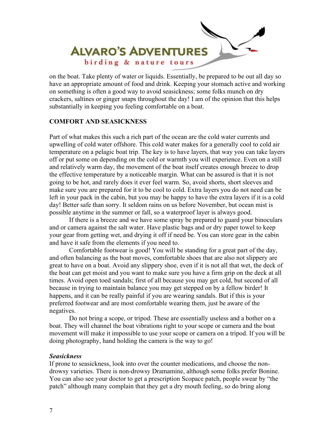

on the boat. Take plenty of water or liquids. Essentially, be prepared to be out all day so have an appropriate amount of food and drink. Keeping your stomach active and working on something is often a good way to avoid seasickness; some folks munch on dry crackers, saltines or ginger snaps throughout the day! I am of the opinion that this helps substantially in keeping you feeling comfortable on a boat.

#### **COMFORT AND SEASICKNESS**

Part of what makes this such a rich part of the ocean are the cold water currents and upwelling of cold water offshore. This cold water makes for a generally cool to cold air temperature on a pelagic boat trip. The key is to have layers, that way you can take layers off or put some on depending on the cold or warmth you will experience. Even on a still and relatively warm day, the movement of the boat itself creates enough breeze to drop the effective temperature by a noticeable margin. What can be assured is that it is not going to be hot, and rarely does it ever feel warm. So, avoid shorts, short sleeves and make sure you are prepared for it to be cool to cold. Extra layers you do not need can be left in your pack in the cabin, but you may be happy to have the extra layers if it is a cold day! Better safe than sorry. It seldom rains on us before November, but ocean mist is possible anytime in the summer or fall, so a waterproof layer is always good.

If there is a breeze and we have some spray be prepared to guard your binoculars and or camera against the salt water. Have plastic bags and or dry paper towel to keep your gear from getting wet, and drying it off if need be. You can store gear in the cabin and have it safe from the elements if you need to.

Comfortable footwear is good! You will be standing for a great part of the day, and often balancing as the boat moves, comfortable shoes that are also not slippery are great to have on a boat. Avoid any slippery shoe, even if it is not all that wet, the deck of the boat can get moist and you want to make sure you have a firm grip on the deck at all times. Avoid open toed sandals; first of all because you may get cold, but second of all because in trying to maintain balance you may get stepped on by a fellow birder! It happens, and it can be really painful if you are wearing sandals. But if this is your preferred footwear and are most comfortable wearing them, just be aware of the negatives.

Do not bring a scope, or tripod. These are essentially useless and a bother on a boat. They will channel the boat vibrations right to your scope or camera and the boat movement will make it impossible to use your scope or camera on a tripod. If you will be doing photography, hand holding the camera is the way to go!

#### *Seasickness*

If prone to seasickness, look into over the counter medications, and choose the nondrowsy varieties. There is non-drowsy Dramamine, although some folks prefer Bonine. You can also see your doctor to get a prescription Scopace patch, people swear by "the patch" although many complain that they get a dry mouth feeling, so do bring along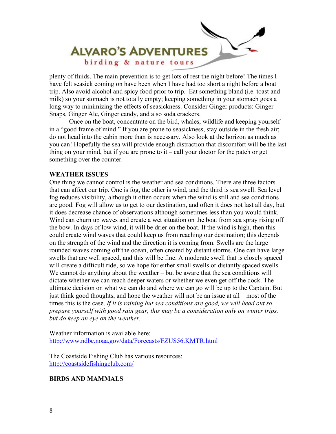

plenty of fluids. The main prevention is to get lots of rest the night before! The times I have felt seasick coming on have been when I have had too short a night before a boat trip. Also avoid alcohol and spicy food prior to trip. Eat something bland (i.e. toast and milk) so your stomach is not totally empty; keeping something in your stomach goes a long way to minimizing the effects of seasickness. Consider Ginger products: Ginger Snaps, Ginger Ale, Ginger candy, and also soda crackers.

Once on the boat, concentrate on the bird, whales, wildlife and keeping yourself in a "good frame of mind." If you are prone to seasickness, stay outside in the fresh air; do not head into the cabin more than is necessary. Also look at the horizon as much as you can! Hopefully the sea will provide enough distraction that discomfort will be the last thing on your mind, but if you are prone to  $it - call$  your doctor for the patch or get something over the counter.

#### **WEATHER ISSUES**

One thing we cannot control is the weather and sea conditions. There are three factors that can affect our trip. One is fog, the other is wind, and the third is sea swell. Sea level fog reduces visibility, although it often occurs when the wind is still and sea conditions are good. Fog will allow us to get to our destination, and often it does not last all day, but it does decrease chance of observations although sometimes less than you would think. Wind can churn up waves and create a wet situation on the boat from sea spray rising off the bow. In days of low wind, it will be drier on the boat. If the wind is high, then this could create wind waves that could keep us from reaching our destination; this depends on the strength of the wind and the direction it is coming from. Swells are the large rounded waves coming off the ocean, often created by distant storms. One can have large swells that are well spaced, and this will be fine. A moderate swell that is closely spaced will create a difficult ride, so we hope for either small swells or distantly spaced swells. We cannot do anything about the weather – but be aware that the sea conditions will dictate whether we can reach deeper waters or whether we even get off the dock. The ultimate decision on what we can do and where we can go will be up to the Captain. But just think good thoughts, and hope the weather will not be an issue at all – most of the times this is the case. *If it is raining but sea conditions are good, we will head out so prepare yourself with good rain gear, this may be a consideration only on winter trips, but do keep an eye on the weather.*

Weather information is available here: <http://www.ndbc.noaa.gov/data/Forecasts/FZUS56.KMTR.html>

The Coastside Fishing Club has various resources: <http://coastsidefishingclub.com/>

#### **BIRDS AND MAMMALS**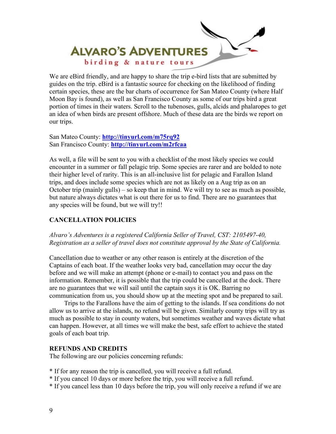

We are eBird friendly, and are happy to share the trip e-bird lists that are submitted by guides on the trip. eBird is a fantastic source for checking on the likelihood of finding certain species, these are the bar charts of occurrence for San Mateo County (where Half Moon Bay is found), as well as San Francisco County as some of our trips bird a great portion of times in their waters. Scroll to the tubenoses, gulls, alcids and phalaropes to get an idea of when birds are present offshore. Much of these data are the birds we report on our trips.

San Mateo County: **<http://tinyurl.com/m75rq92>** San Francisco County: **<http://tinyurl.com/m2rfcaa>**

As well, a file will be sent to you with a checklist of the most likely species we could encounter in a summer or fall pelagic trip. Some species are rarer and are bolded to note their higher level of rarity. This is an all-inclusive list for pelagic and Farallon Island trips, and does include some species which are not as likely on a Aug trip as on an October trip (mainly gulls) – so keep that in mind. We will try to see as much as possible, but nature always dictates what is out there for us to find. There are no guarantees that any species will be found, but we will try!!

# **CANCELLATION POLICIES**

# *Alvaro's Adventures is a registered California Seller of Travel, CST: 2105497-40, Registration as a seller of travel does not constitute approval by the State of California.*

Cancellation due to weather or any other reason is entirely at the discretion of the Captains of each boat. If the weather looks very bad, cancellation may occur the day before and we will make an attempt (phone or e-mail) to contact you and pass on the information. Remember, it is possible that the trip could be cancelled at the dock. There are no guarantees that we will sail until the captain says it is OK. Barring no communication from us, you should show up at the meeting spot and be prepared to sail.

 Trips to the Farallons have the aim of getting to the islands. If sea conditions do not allow us to arrive at the islands, no refund will be given. Similarly county trips will try as much as possible to stay in county waters, but sometimes weather and waves dictate what can happen. However, at all times we will make the best, safe effort to achieve the stated goals of each boat trip.

# **REFUNDS AND CREDITS**

The following are our policies concerning refunds:

- \* If for any reason the trip is cancelled, you will receive a full refund.
- \* If you cancel 10 days or more before the trip, you will receive a full refund.
- \* If you cancel less than 10 days before the trip, you will only receive a refund if we are